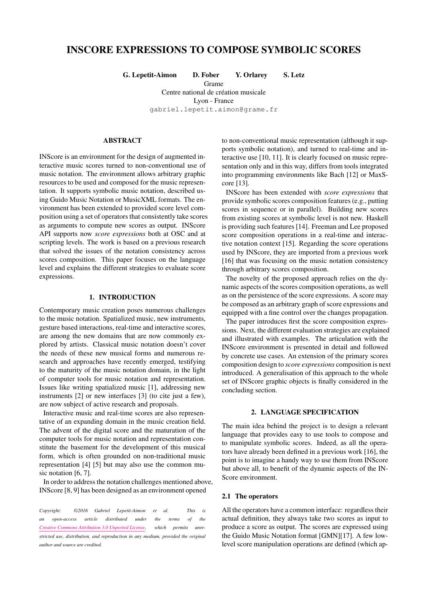# INSCORE EXPRESSIONS TO COMPOSE SYMBOLIC SCORES

G. Lepetit-Aimon D. Fober Y. Orlarey S. Letz

Grame

Centre national de création musicale

Lyon - France

[gabriel.lepetit.aimon@grame.fr](mailto:gabriel.lepetit.aimon@grame.fr)

## ABSTRACT

INScore is an environment for the design of augmented interactive music scores turned to non-conventional use of music notation. The environment allows arbitrary graphic resources to be used and composed for the music representation. It supports symbolic music notation, described using Guido Music Notation or MusicXML formats. The environment has been extended to provided score level composition using a set of operators that consistently take scores as arguments to compute new scores as output. INScore API supports now *score expressions* both at OSC and at scripting levels. The work is based on a previous research that solved the issues of the notation consistency across scores composition. This paper focuses on the language level and explains the different strategies to evaluate score expressions.

#### 1. INTRODUCTION

Contemporary music creation poses numerous challenges to the music notation. Spatialized music, new instruments, gesture based interactions, real-time and interactive scores, are among the new domains that are now commonly explored by artists. Classical music notation doesn't cover the needs of these new musical forms and numerous research and approaches have recently emerged, testifying to the maturity of the music notation domain, in the light of computer tools for music notation and representation. Issues like writing spatialized music [\[1\]](#page-5-0), addressing new instruments [\[2\]](#page-5-1) or new interfaces [\[3\]](#page-5-2) (to cite just a few), are now subject of active research and proposals.

Interactive music and real-time scores are also representative of an expanding domain in the music creation field. The advent of the digital score and the maturation of the computer tools for music notation and representation constitute the basement for the development of this musical form, which is often grounded on non-traditional music representation [\[4\]](#page-5-3) [\[5\]](#page-6-0) but may also use the common music notation [\[6,](#page-6-1) [7\]](#page-6-2).

In order to address the notation challenges mentioned above, INScore [\[8,](#page-6-3) [9\]](#page-6-4) has been designed as an environment opened

*Copyright: ©2016 Gabriel Lepetit-Aimon et al. This is an open-access article distributed under the terms of the [Creative Commons Attribution 3.0 Unported License,](http://creativecommons.org/licenses/by/3.0/) which permits unrestricted use, distribution, and reproduction in any medium, provided the original author and source are credited.*

to non-conventional music representation (although it supports symbolic notation), and turned to real-time and interactive use [\[10,](#page-6-5) [11\]](#page-6-6). It is clearly focused on music representation only and in this way, differs from tools integrated into programming environments like Bach [\[12\]](#page-6-7) or MaxScore [\[13\]](#page-6-8).

INScore has been extended with *score expressions* that provide symbolic scores composition features (e.g., putting scores in sequence or in parallel). Building new scores from existing scores at symbolic level is not new. Haskell is providing such features [\[14\]](#page-6-9). Freeman and Lee proposed score composition operations in a real-time and interactive notation context [\[15\]](#page-6-10). Regarding the score operations used by INScore, they are imported from a previous work [\[16\]](#page-6-11) that was focusing on the music notation consistency through arbitrary scores composition.

The novelty of the proposed approach relies on the dynamic aspects of the scores composition operations, as well as on the persistence of the score expressions. A score may be composed as an arbitrary graph of score expressions and equipped with a fine control over the changes propagation.

The paper introduces first the score composition expressions. Next, the different evaluation strategies are explained and illustrated with examples. The articulation with the INScore environment is presented in detail and followed by concrete use cases. An extension of the primary scores composition design to *score expressions* composition is next introduced. A generalisation of this approach to the whole set of INScore graphic objects is finally considered in the concluding section.

## 2. LANGUAGE SPECIFICATION

The main idea behind the project is to design a relevant language that provides easy to use tools to compose and to manipulate symbolic scores. Indeed, as all the operators have already been defined in a previous work [\[16\]](#page-6-11), the point is to imagine a handy way to use them from INScore but above all, to benefit of the dynamic aspects of the IN-Score environment.

## 2.1 The operators

All the operators have a common interface: regardless their actual definition, they always take two scores as input to produce a score as output. The scores are expressed using the Guido Music Notation format [GMN][\[17\]](#page-6-12). A few lowlevel score manipulation operations are defined (which ap-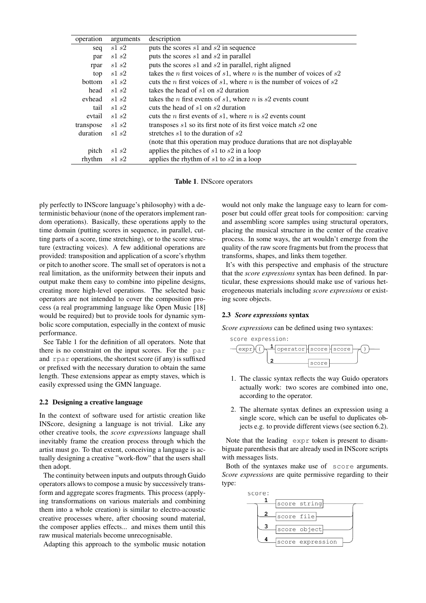| operation | arguments | description                                                                              |
|-----------|-----------|------------------------------------------------------------------------------------------|
| seq       | s1s2      | puts the scores s1 and s2 in sequence                                                    |
| par       | s1s2      | puts the scores s1 and s2 in parallel                                                    |
| rpar      | s1s2      | puts the scores s1 and s2 in parallel, right aligned                                     |
| top       | s1s2      | takes the <i>n</i> first voices of $s1$ , where <i>n</i> is the number of voices of $s2$ |
| bottom    | s1s2      | cuts the <i>n</i> first voices of $s1$ , where <i>n</i> is the number of voices of $s2$  |
| head      | s1s2      | takes the head of $s1$ on $s2$ duration                                                  |
| evhead    | s1s2      | takes the <i>n</i> first events of $s1$ , where <i>n</i> is $s2$ events count            |
| tail      | s1s2      | cuts the head of $s1$ on $s2$ duration                                                   |
| evtail    | s1s2      | cuts the <i>n</i> first events of $s1$ , where <i>n</i> is $s2$ events count             |
| transpose | s1s2      | transposes $s1$ so its first note of its first voice match $s2$ one                      |
| duration  | s1s2      | stretches $s1$ to the duration of $s2$                                                   |
|           |           | (note that this operation may produce durations that are not displayable                 |
| pitch     | s1s2      | applies the pitches of $s1$ to $s2$ in a loop                                            |
| rhythm    | s1s2      | applies the rhythm of $s1$ to $s2$ in a loop                                             |

<span id="page-1-0"></span>Table 1. INScore operators

ply perfectly to INScore language's philosophy) with a deterministic behaviour (none of the operators implement random operations). Basically, these operations apply to the time domain (putting scores in sequence, in parallel, cutting parts of a score, time stretching), or to the score structure (extracting voices). A few additional operations are provided: transposition and application of a score's rhythm or pitch to another score. The small set of operators is not a real limitation, as the uniformity between their inputs and output make them easy to combine into pipeline designs, creating more high-level operations. The selected basic operators are not intended to cover the composition process (a real programming language like Open Music [\[18\]](#page-6-13) would be required) but to provide tools for dynamic symbolic score computation, especially in the context of music performance.

See Table [1](#page-1-0) for the definition of all operators. Note that there is no constraint on the input scores. For the par and rpar operations, the shortest score (if any) is suffixed or prefixed with the necessary duration to obtain the same length. These extensions appear as empty staves, which is easily expressed using the GMN language.

# 2.2 Designing a creative language

In the context of software used for artistic creation like INScore, designing a language is not trivial. Like any other creative tools, the *score expressions* language shall inevitably frame the creation process through which the artist must go. To that extent, conceiving a language is actually designing a creative "work-flow" that the users shall then adopt.

The continuity between inputs and outputs through Guido operators allows to compose a music by successively transform and aggregate scores fragments. This process (applying transformations on various materials and combining them into a whole creation) is similar to electro-acoustic creative processes where, after choosing sound material, the composer applies effects... and mixes them until this raw musical materials become unrecognisable.

Adapting this approach to the symbolic music notation

would not only make the language easy to learn for composer but could offer great tools for composition: carving and assembling score samples using structural operators, placing the musical structure in the center of the creative process. In some ways, the art wouldn't emerge from the quality of the raw score fragments but from the process that transforms, shapes, and links them together.

It's with this perspective and emphasis of the structure that the *score expressions* syntax has been defined. In particular, these expressions should make use of various heterogeneous materials including *score expressions* or existing score objects.

## 2.3 *Score expressions* syntax

*Score expressions* can be defined using two syntaxes:



- 1. The classic syntax reflects the way Guido operators actually work: two scores are combined into one, according to the operator.
- 2. The alternate syntax defines an expression using a single score, which can be useful to duplicates objects e.g. to provide different views (see section [6.2\)](#page-4-0).

Note that the leading expr token is present to disambiguate parenthesis that are already used in INScore scripts with messages lists.

Both of the syntaxes make use of score arguments. *Score expressions* are quite permissive regarding to their type:

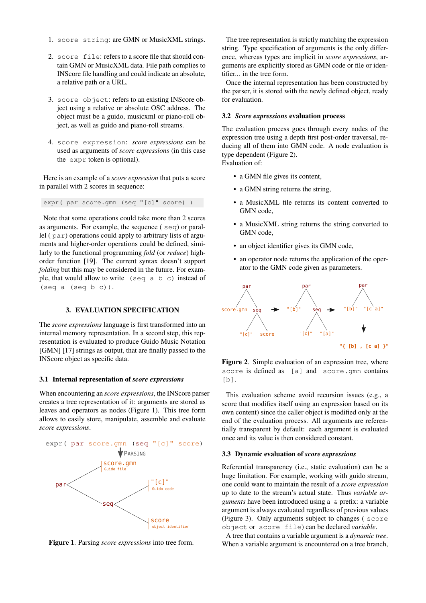- 1. score string: are GMN or MusicXML strings.
- 2. score file: refers to a score file that should contain GMN or MusicXML data. File path complies to INScore file handling and could indicate an absolute, a relative path or a URL.
- 3. score object: refers to an existing INScore object using a relative or absolute OSC address. The object must be a guido, musicxml or piano-roll object, as well as guido and piano-roll streams.
- 4. score expression: *score expressions* can be used as arguments of *score expressions* (in this case the expr token is optional).

Here is an example of a *score expression* that puts a score in parallel with 2 scores in sequence:

expr( par score.gmn (seq "[c]" score) )

Note that some operations could take more than 2 scores as arguments. For example, the sequence ( seq) or parallel ( par) operations could apply to arbitrary lists of arguments and higher-order operations could be defined, similarly to the functional programming *fold* (or *reduce*) highorder function [\[19\]](#page-6-14). The current syntax doesn't support *folding* but this may be considered in the future. For example, that would allow to write (seq  $a$  b c) instead of (seq a (seq b c)).

# 3. EVALUATION SPECIFICATION

The *score expressions* language is first transformed into an internal memory representation. In a second step, this representation is evaluated to produce Guido Music Notation [GMN] [\[17\]](#page-6-12) strings as output, that are finally passed to the INScore object as specific data.

#### 3.1 Internal representation of *score expressions*

When encountering an *score expressions*, the INScore parser creates a tree representation of it: arguments are stored as leaves and operators as nodes (Figure [1\)](#page-2-0). This tree form allows to easily store, manipulate, assemble and evaluate *score expressions*.

<span id="page-2-0"></span>

Figure 1. Parsing *score expressions* into tree form.

The tree representation is strictly matching the expression string. Type specification of arguments is the only difference, whereas types are implicit in *score expressions*, arguments are explicitly stored as GMN code or file or identifier... in the tree form.

Once the internal representation has been constructed by the parser, it is stored with the newly defined object, ready for evaluation.

#### 3.2 *Score expressions* evaluation process

The evaluation process goes through every nodes of the expression tree using a depth first post-order traversal, reducing all of them into GMN code. A node evaluation is type dependent (Figure [2\)](#page-2-1). Evaluation of:

- a GMN file gives its content,
- a GMN string returns the string,
- a MusicXML file returns its content converted to GMN code,
- a MusicXML string returns the string converted to GMN code,
- an object identifier gives its GMN code,
- an operator node returns the application of the operator to the GMN code given as parameters.

<span id="page-2-1"></span>

Figure 2. Simple evaluation of an expression tree, where score is defined as [a] and score.gmn contains [b].

This evaluation scheme avoid recursion issues (e.g., a score that modifies itself using an expression based on its own content) since the caller object is modified only at the end of the evaluation process. All arguments are referentially transparent by default: each argument is evaluated once and its value is then considered constant.

#### 3.3 Dynamic evaluation of *score expressions*

Referential transparency (i.e., static evaluation) can be a huge limitation. For example, working with guido stream, one could want to maintain the result of a *score expression* up to date to the stream's actual state. Thus *variable arguments* have been introduced using a & prefix: a variable argument is always evaluated regardless of previous values (Figure [3\)](#page-3-0). Only arguments subject to changes ( score object or score file) can be declared *variable*.

A tree that contains a variable argument is a *dynamic tree*. When a variable argument is encountered on a tree branch,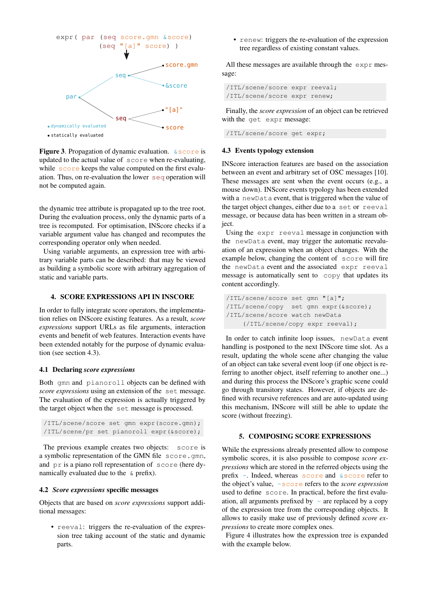<span id="page-3-0"></span>

Figure 3. Propagation of dynamic evaluation.  $&\text{score}$  is updated to the actual value of score when re-evaluating, while score keeps the value computed on the first evaluation. Thus, on re-evaluation the lower seq operation will not be computed again.

the dynamic tree attribute is propagated up to the tree root. During the evaluation process, only the dynamic parts of a tree is recomputed. For optimisation, INScore checks if a variable argument value has changed and recomputes the corresponding operator only when needed.

Using variable arguments, an expression tree with arbitrary variable parts can be described: that may be viewed as building a symbolic score with arbitrary aggregation of static and variable parts.

# 4. SCORE EXPRESSIONS API IN INSCORE

In order to fully integrate score operators, the implementation relies on INScore existing features. As a result, *score expressions* support URLs as file arguments, interaction events and benefit of web features. Interaction events have been extended notably for the purpose of dynamic evaluation (see section [4.3\)](#page-3-1).

#### 4.1 Declaring *score expressions*

Both gmn and pianoroll objects can be defined with *score expressions* using an extension of the set message. The evaluation of the expression is actually triggered by the target object when the set message is processed.

```
/ITL/scene/score set gmn expr(score.gmn);
/ITL/scene/pr set pianoroll expr(&score);
```
The previous example creates two objects: score is a symbolic representation of the GMN file score.gmn, and pr is a piano roll representation of score (here dynamically evaluated due to the  $\alpha$  prefix).

## 4.2 *Score expressions* specific messages

Objects that are based on *score expressions* support additional messages:

• reeval: triggers the re-evaluation of the expression tree taking account of the static and dynamic parts.

• renew: triggers the re-evaluation of the expression tree regardless of existing constant values.

All these messages are available through the expr message:

```
/ITL/scene/score expr reeval;
/ITL/scene/score expr renew;
```
Finally, the *score expression* of an object can be retrieved with the get expr message:

/ITL/scene/score get expr;

### <span id="page-3-1"></span>4.3 Events typology extension

INScore interaction features are based on the association between an event and arbitrary set of OSC messages [\[10\]](#page-6-5). These messages are sent when the event occurs (e.g., a mouse down). INScore events typology has been extended with a newData event, that is triggered when the value of the target object changes, either due to a set or reeval message, or because data has been written in a stream object.

Using the expr reeval message in conjunction with the newData event, may trigger the automatic reevaluation of an expression when an object changes. With the example below, changing the content of score will fire the newData event and the associated expr reeval message is automatically sent to copy that updates its content accordingly.

```
/ITL/scene/score set gmn "[a]";
/ITL/scene/copy set gmn expr(&score);
/ITL/scene/score watch newData
    (/ITL/scene/copy expr reeval);
```
In order to catch infinite loop issues, newData event handling is postponed to the next INScore time slot. As a result, updating the whole scene after changing the value of an object can take several event loop (if one object is referring to another object, itself referring to another one...) and during this process the INScore's graphic scene could go through transitory states. However, if objects are defined with recursive references and are auto-updated using this mechanism, INScore will still be able to update the score (without freezing).

# 5. COMPOSING SCORE EXPRESSIONS

While the expressions already presented allow to compose symbolic scores, it is also possible to compose *score expressions* which are stored in the referred objects using the prefix  $\sim$ . Indeed, whereas score and  $\&$ score refer to the object's value, ~score refers to the *score expression* used to define score. In practical, before the first evaluation, all arguments prefixed by  $\sim$  are replaced by a copy of the expression tree from the corresponding objects. It allows to easily make use of previously defined *score expressions* to create more complex ones.

Figure [4](#page-4-1) illustrates how the expression tree is expanded with the example below.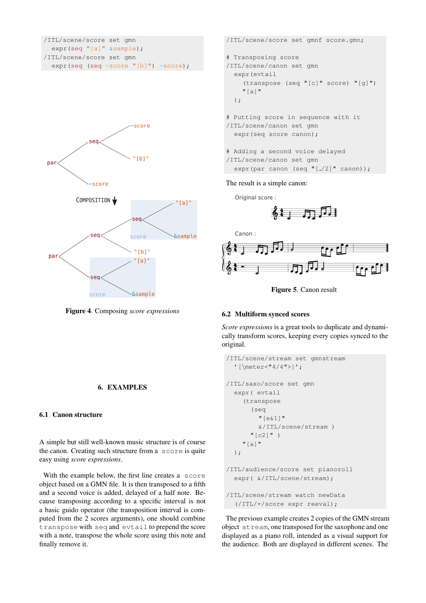

<span id="page-4-1"></span>

Figure 4. Composing *score expressions*

#### 6. EXAMPLES

## 6.1 Canon structure

A simple but still well-known music structure is of course the canon. Creating such structure from a score is quite easy using *score expressions*.

With the example below, the first line creates a score object based on a GMN file. It is then transposed to a fifth and a second voice is added, delayed of a half note. Because transposing according to a specific interval is not a basic guido operator (the transposition interval is computed from the 2 scores arguments), one should combine transpose with seq and evtail to prepend the score with a note, transpose the whole score using this note and finally remove it.

```
/ITL/scene/score set gmnf score.gmn;
# Transposing score
/ITL/scene/canon set gmn
  expr(evtail
    (transpose (seq "[c]" score) "[g]")
    "[a]"
  );
# Putting score in sequence with it
/ITL/scene/canon set gmn
  expr(seq score canon);
# Adding a second voice delayed
/ITL/scene/canon set gmn
  \exp r(par canon (seq "[-/2]" canon));
```
The result is a simple canon:

Original score :





Figure 5. Canon result

# <span id="page-4-0"></span>6.2 Multiform synced scores

*Score expressions* is a great tools to duplicate and dynamically transform scores, keeping every copies synced to the original.

```
/ITL/scene/stream set gmnstream
  '[\meter<"4/4">]';
/ITL/saxo/score set gmn
  expr( evtail
    (transpose
       (seq
         "[e&1]"
         &/ITL/scene/stream )
      "[c2]" )
    "[a]"
  );
/ITL/audience/score set pianoroll
  expr( &/ITL/scene/stream);
/ITL/scene/stream watch newData
  (/ITL/*/score expr reeval);
```
The previous example creates 2 copies of the GMN stream object stream, one transposed for the saxophone and one displayed as a piano roll, intended as a visual support for the audience. Both are displayed in different scenes. The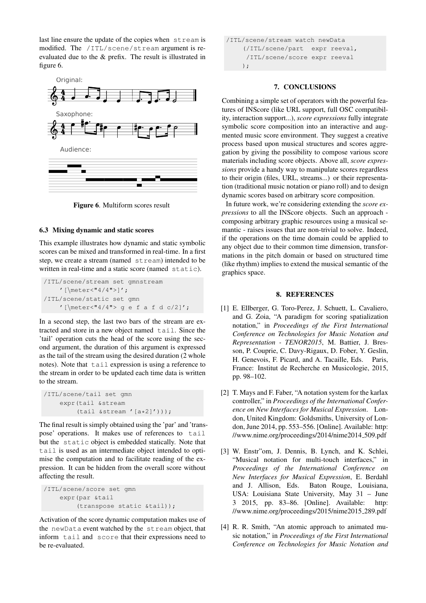last line ensure the update of the copies when stream is modified. The /ITL/scene/stream argument is reevaluated due to the & prefix. The result is illustrated in figure [6.](#page-5-4)

<span id="page-5-4"></span>

Figure 6. Multiform scores result

# 6.3 Mixing dynamic and static scores

This example illustrates how dynamic and static symbolic scores can be mixed and transformed in real-time. In a first step, we create a stream (named stream) intended to be written in real-time and a static score (named static).

```
/ITL/scene/stream set gmnstream
    '[\meter<"4/4">]';
/ITL/scene/static set gmn
    '[\meter<"4/4"> g e f a f d c/2]';
```
In a second step, the last two bars of the stream are extracted and store in a new object named tail. Since the 'tail' operation cuts the head of the score using the second argument, the duration of this argument is expressed as the tail of the stream using the desired duration (2 whole notes). Note that tail expression is using a reference to the stream in order to be updated each time data is written to the stream.

```
/ITL/scene/tail set gmn
    expr(tail &stream
        (tail &stream '[a*2]')));
```
The final result is simply obtained using the 'par' and 'transpose' operations. It makes use of references to tail but the static object is embedded statically. Note that tail is used as an intermediate object intended to optimise the computation and to facilitate reading of the expression. It can be hidden from the overall score without affecting the result.

```
/ITL/scene/score set gmn
    expr(par &tail
         (transpose static &tail));
```
Activation of the score dynamic computation makes use of the newData event watched by the stream object, that inform tail and score that their expressions need to be re-evaluated.

```
/ITL/scene/stream watch newData
    (/ITL/scene/part expr reeval,
     /ITL/scene/score expr reeval
    );
```
# 7. CONCLUSIONS

Combining a simple set of operators with the powerful features of INScore (like URL support, full OSC compatibility, interaction support...), *score expressions* fully integrate symbolic score composition into an interactive and augmented music score environment. They suggest a creative process based upon musical structures and scores aggregation by giving the possibility to compose various score materials including score objects. Above all, *score expressions* provide a handy way to manipulate scores regardless to their origin (files, URL, streams...) or their representation (traditional music notation or piano roll) and to design dynamic scores based on arbitrary score composition.

In future work, we're considering extending the *score expressions* to all the INScore objects. Such an approach composing arbitrary graphic resources using a musical semantic - raises issues that are non-trivial to solve. Indeed, if the operations on the time domain could be applied to any object due to their common time dimension, transformations in the pitch domain or based on structured time (like rhythm) implies to extend the musical semantic of the graphics space.

# 8. REFERENCES

- <span id="page-5-0"></span>[1] E. Ellberger, G. Toro-Perez, J. Schuett, L. Cavaliero, and G. Zoia, "A paradigm for scoring spatialization notation," in *Proceedings of the First International Conference on Technologies for Music Notation and Representation - TENOR2015*, M. Battier, J. Bresson, P. Couprie, C. Davy-Rigaux, D. Fober, Y. Geslin, H. Genevois, F. Picard, and A. Tacaille, Eds. Paris, France: Institut de Recherche en Musicologie, 2015, pp. 98–102.
- <span id="page-5-1"></span>[2] T. Mays and F. Faber, "A notation system for the karlax controller," in *Proceedings of the International Conference on New Interfaces for Musical Expression*. London, United Kingdom: Goldsmiths, University of London, June 2014, pp. 553–556. [Online]. Available: [http:](http://www.nime.org/proceedings/2014/nime2014_509.pdf) [//www.nime.org/proceedings/2014/nime2014](http://www.nime.org/proceedings/2014/nime2014_509.pdf) 509.pdf
- <span id="page-5-2"></span>[3] W. Enstr<sup>"om, J.</sup> Dennis, B. Lynch, and K. Schlei, "Musical notation for multi-touch interfaces," in *Proceedings of the International Conference on New Interfaces for Musical Expression*, E. Berdahl and J. Allison, Eds. Baton Rouge, Louisiana, USA: Louisiana State University, May 31 – June 3 2015, pp. 83–86. [Online]. Available: [http:](http://www.nime.org/proceedings/2015/nime2015_289.pdf) [//www.nime.org/proceedings/2015/nime2015](http://www.nime.org/proceedings/2015/nime2015_289.pdf) 289.pdf
- <span id="page-5-3"></span>[4] R. R. Smith, "An atomic approach to animated music notation," in *Proceedings of the First International Conference on Technologies for Music Notation and*